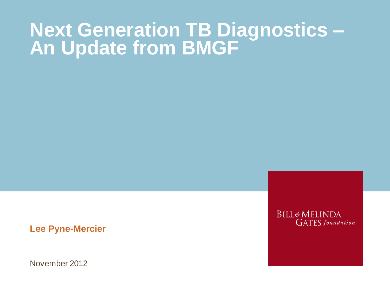#### **Next Generation TB Diagnostics – An Update from BMGF**

**Lee Pyne-Mercier**

November 2012

**BILL&MELINDA GATES** foundation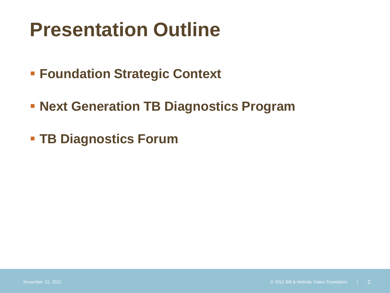- **Foundation Strategic Context**
- **Next Generation TB Diagnostics Program**
- **TB Diagnostics Forum**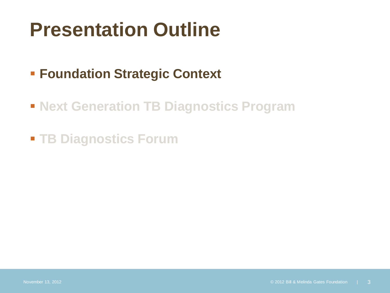#### **Foundation Strategic Context**

- **Next Generation TB Diagnostics Program**
- **TB Diagnostics Forum**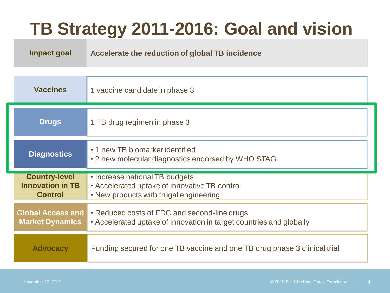### **TB Strategy 2011-2016: Goal and vision**

**Impact goal Impact goal Accelerate the reduction of global TB incidence**

| <b>Vaccines</b>                                                   | 1 vaccine candidate in phase 3                                                                                            |
|-------------------------------------------------------------------|---------------------------------------------------------------------------------------------------------------------------|
| <b>Drugs</b>                                                      | 1 TB drug regimen in phase 3                                                                                              |
| <b>Diagnostics</b>                                                | • 1 new TB biomarker identified<br>• 2 new molecular diagnostics endorsed by WHO STAG                                     |
| <b>Country-level</b><br><b>Innovation in TB</b><br><b>Control</b> | • Increase national TB budgets<br>• Accelerated uptake of innovative TB control<br>• New products with frugal engineering |
| <b>Global Access and</b><br><b>Market Dynamics</b>                | • Reduced costs of FDC and second-line drugs<br>• Accelerated uptake of innovation in target countries and globally       |
| <b>Advocacy</b>                                                   | Funding secured for one TB vaccine and one TB drug phase 3 clinical trial                                                 |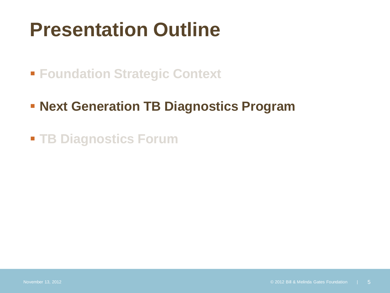**Foundation Strategic Context** 

**- Next Generation TB Diagnostics Program** 

**TB Diagnostics Forum**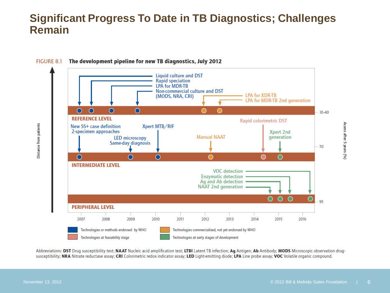#### **Significant Progress To Date in TB Diagnostics; Challenges Remain**



Abbreviations: DST Drug susceptibility test; NAAT Nucleic acid amplification test; LTBI Latent TB infection; Ag Antigen; Ab Antibody; MODS Microscopic observation drugsusceptibility; NRA Nitrate reductase assay; CRI Colorimetric redox indicator assay; LED Light-emitting diode; LPA Line probe assay; VOC Volatile organic compound.

Access after 5 years (%)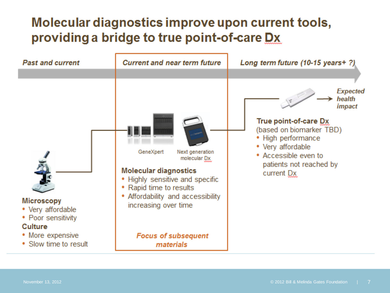#### Molecular diagnostics improve upon current tools, providing a bridge to true point-of-care Dx

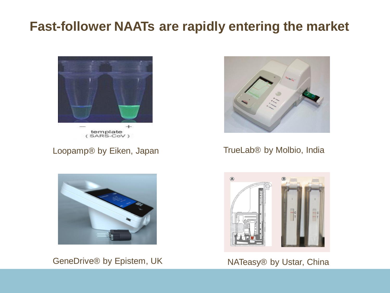#### **Fast-follower NAATs are rapidly entering the market**



#### Loopamp® by Eiken, Japan



GeneDrive® by Epistem, UK NATeasy® by Ustar, China



#### TrueLab® by Molbio, India

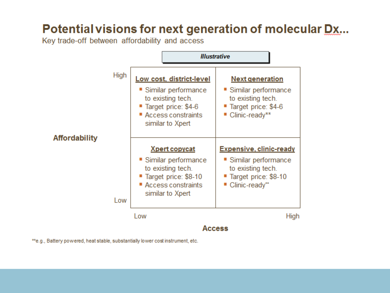#### Potential visions for next generation of molecular Dx...

Key trade-off between affordability and access



\*\*e.g., Battery powered, heat stable, substantially lower cost instrument, etc.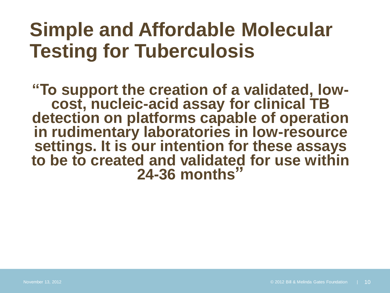### **Simple and Affordable Molecular Testing for Tuberculosis**

**"To support the creation of a validated, lowcost, nucleic-acid assay for clinical TB detection on platforms capable of operation in rudimentary laboratories in low-resource settings. It is our intention for these assays to be to created and validated for use within 24-36 months"**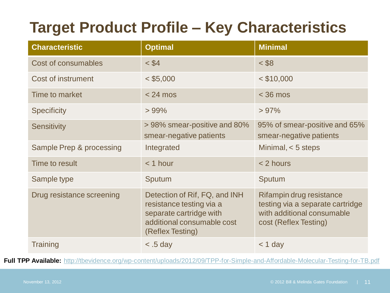#### **Target Product Profile – Key Characteristics**

| <b>Characteristic</b>      | <b>Optimal</b>                                                                                                                         | <b>Minimal</b>                                                                                                      |
|----------------------------|----------------------------------------------------------------------------------------------------------------------------------------|---------------------------------------------------------------------------------------------------------------------|
| <b>Cost of consumables</b> | $<$ \$4                                                                                                                                | $<$ \$8                                                                                                             |
| Cost of instrument         | $<$ \$5,000                                                                                                                            | $<$ \$10,000                                                                                                        |
| Time to market             | $< 24$ mos                                                                                                                             | $<$ 36 mos                                                                                                          |
| <b>Specificity</b>         | $>99\%$                                                                                                                                | >97%                                                                                                                |
| <b>Sensitivity</b>         | > 98% smear-positive and 80%<br>smear-negative patients                                                                                | 95% of smear-positive and 65%<br>smear-negative patients                                                            |
| Sample Prep & processing   | Integrated                                                                                                                             | Minimal, $<$ 5 steps                                                                                                |
| Time to result             | $<$ 1 hour                                                                                                                             | < 2 hours                                                                                                           |
| Sample type                | Sputum                                                                                                                                 | Sputum                                                                                                              |
| Drug resistance screening  | Detection of Rif, FQ, and INH<br>resistance testing via a<br>separate cartridge with<br>additional consumable cost<br>(Reflex Testing) | Rifampin drug resistance<br>testing via a separate cartridge<br>with additional consumable<br>cost (Reflex Testing) |
| <b>Training</b>            | $\leq$ .5 day                                                                                                                          | $<$ 1 day                                                                                                           |

**Full TPP Available:** <http://tbevidence.org/wp-content/uploads/2012/09/TPP-for-Simple-and-Affordable-Molecular-Testing-for-TB.pdf>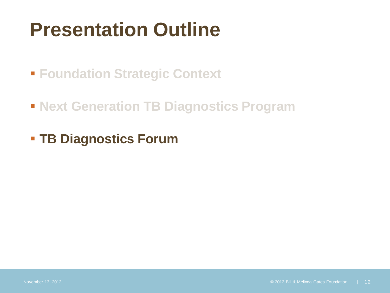**Foundation Strategic Context** 

- **Next Generation TB Diagnostics Program**
- **TB Diagnostics Forum**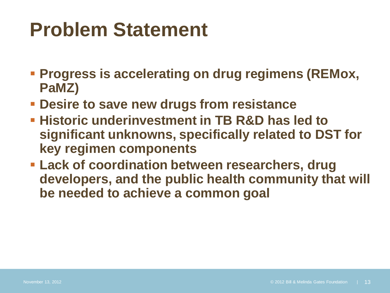# **Problem Statement**

- **Progress is accelerating on drug regimens (REMox, PaMZ)**
- **Desire to save new drugs from resistance**
- **Historic underinvestment in TB R&D has led to significant unknowns, specifically related to DST for key regimen components**
- **Lack of coordination between researchers, drug developers, and the public health community that will be needed to achieve a common goal**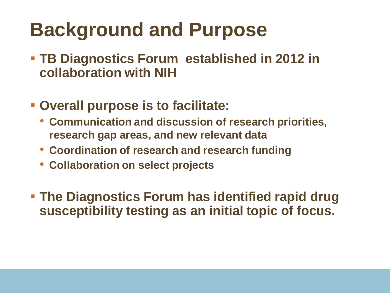# **Background and Purpose**

- **TB Diagnostics Forum established in 2012 in collaboration with NIH**
- **Overall purpose is to facilitate:**
	- **Communication and discussion of research priorities, research gap areas, and new relevant data**
	- **Coordination of research and research funding**
	- **Collaboration on select projects**
- **The Diagnostics Forum has identified rapid drug susceptibility testing as an initial topic of focus.**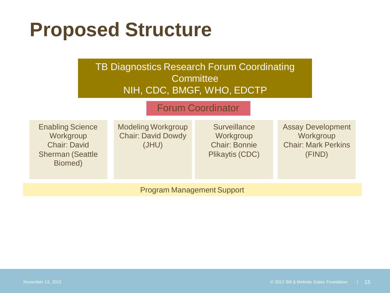# **Proposed Structure**

#### TB Diagnostics Research Forum Coordinating **Committee** NIH, CDC, BMGF, WHO, EDCTP

#### Forum Coordinator

Enabling Science **Workgroup** Chair: David Sherman (Seattle Biomed)

Modeling Workgroup Chair: David Dowdy (JHU)

**Surveillance Workgroup** Chair: Bonnie Plikaytis (CDC) Assay Development **Workgroup** Chair: Mark Perkins (FIND)

Program Management Support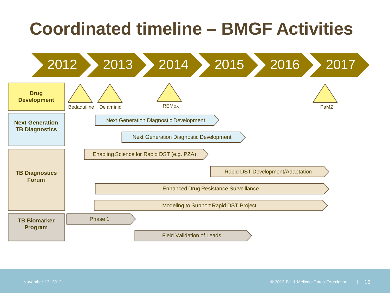### **Coordinated timeline – BMGF Activities**

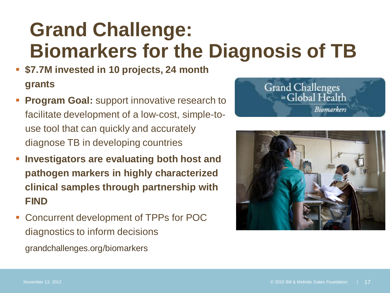## **Grand Challenge: Biomarkers for the Diagnosis of TB**

- **\$7.7M invested in 10 projects, 24 month grants**
- **Program Goal:** support innovative research to facilitate development of a low-cost, simple-touse tool that can quickly and accurately diagnose TB in developing countries
- **Investigators are evaluating both host and pathogen markers in highly characterized clinical samples through partnership with FIND**
- Concurrent development of TPPs for POC diagnostics to inform decisions grandchallenges.org/biomarkers